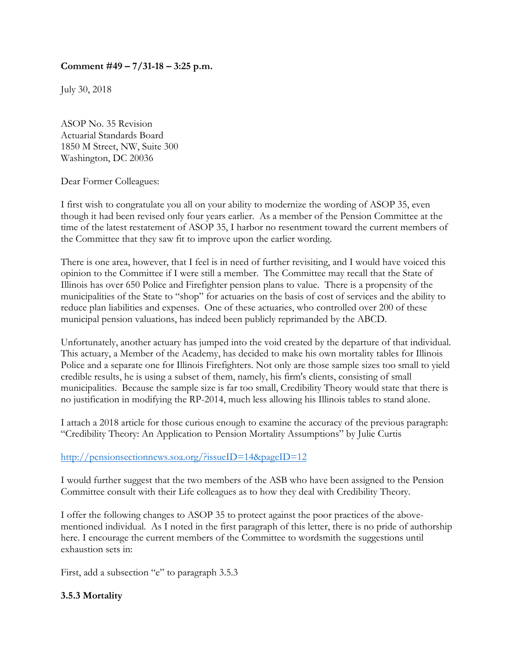## **Comment #49 – 7/31-18 – 3:25 p.m.**

July 30, 2018

ASOP No. 35 Revision Actuarial Standards Board 1850 M Street, NW, Suite 300 Washington, DC 20036

Dear Former Colleagues:

I first wish to congratulate you all on your ability to modernize the wording of ASOP 35, even though it had been revised only four years earlier. As a member of the Pension Committee at the time of the latest restatement of ASOP 35, I harbor no resentment toward the current members of the Committee that they saw fit to improve upon the earlier wording.

There is one area, however, that I feel is in need of further revisiting, and I would have voiced this opinion to the Committee if I were still a member. The Committee may recall that the State of Illinois has over 650 Police and Firefighter pension plans to value. There is a propensity of the municipalities of the State to "shop" for actuaries on the basis of cost of services and the ability to reduce plan liabilities and expenses. One of these actuaries, who controlled over 200 of these municipal pension valuations, has indeed been publicly reprimanded by the ABCD.

Unfortunately, another actuary has jumped into the void created by the departure of that individual. This actuary, a Member of the Academy, has decided to make his own mortality tables for Illinois Police and a separate one for Illinois Firefighters. Not only are those sample sizes too small to yield credible results, he is using a subset of them, namely, his firm's clients, consisting of small municipalities. Because the sample size is far too small, Credibility Theory would state that there is no justification in modifying the RP-2014, much less allowing his Illinois tables to stand alone.

I attach a 2018 article for those curious enough to examine the accuracy of the previous paragraph: "Credibility Theory: An Application to Pension Mortality Assumptions" by Julie Curtis

## http://pensionsectionnews.soa.org/?issueID=14&pageID=12

I would further suggest that the two members of the ASB who have been assigned to the Pension Committee consult with their Life colleagues as to how they deal with Credibility Theory.

I offer the following changes to ASOP 35 to protect against the poor practices of the abovementioned individual. As I noted in the first paragraph of this letter, there is no pride of authorship here. I encourage the current members of the Committee to wordsmith the suggestions until exhaustion sets in:

First, add a subsection "e" to paragraph 3.5.3

## **3.5.3 Mortality**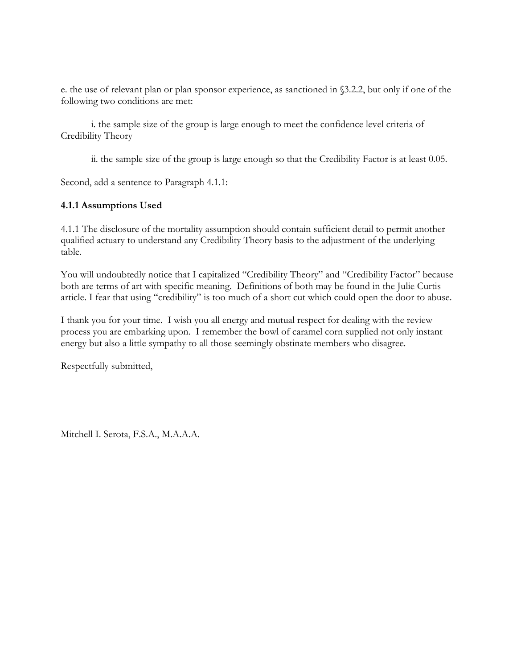e. the use of relevant plan or plan sponsor experience, as sanctioned in §3.2.2, but only if one of the following two conditions are met:

 i. the sample size of the group is large enough to meet the confidence level criteria of Credibility Theory

ii. the sample size of the group is large enough so that the Credibility Factor is at least 0.05.

Second, add a sentence to Paragraph 4.1.1:

## **4.1.1 Assumptions Used**

4.1.1 The disclosure of the mortality assumption should contain sufficient detail to permit another qualified actuary to understand any Credibility Theory basis to the adjustment of the underlying table.

You will undoubtedly notice that I capitalized "Credibility Theory" and "Credibility Factor" because both are terms of art with specific meaning. Definitions of both may be found in the Julie Curtis article. I fear that using "credibility" is too much of a short cut which could open the door to abuse.

I thank you for your time. I wish you all energy and mutual respect for dealing with the review process you are embarking upon. I remember the bowl of caramel corn supplied not only instant energy but also a little sympathy to all those seemingly obstinate members who disagree.

Respectfully submitted,

Mitchell I. Serota, F.S.A., M.A.A.A.